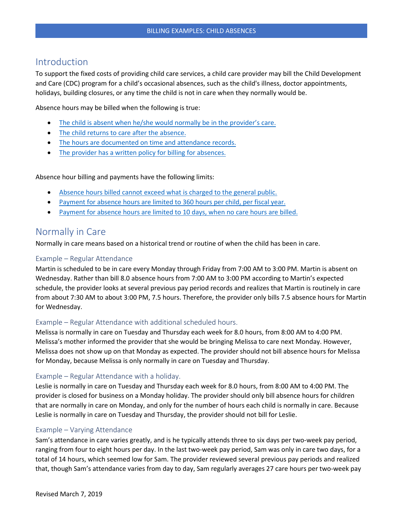## Introduction

To support the fixed costs of providing child care services, a child care provider may bill the Child Development and Care (CDC) program for a child's occasional absences, such as the child's illness, doctor appointments, holidays, building closures, or any time the child is not in care when they normally would be.

Absence hours may be billed when the following is true:

- The child is absent [when he/she would normally be in](#page-0-0) the provider's care.
- The child returns to care [after the absence.](#page-1-0)
- [The hours are documented on time and attendance records.](#page-1-1)
- The provider has a written [policy for billing for absences.](#page-1-2)

Absence hour billing and payments have the following limits:

- [Absence hours billed cannot exceed what is charged to the general public.](#page-2-0)
- [Payment for absence hours are limited to 360 hours per child, per fiscal year.](#page-2-1)
- [Payment for absence hours are limited to 10 days, when no care hours are billed.](#page-2-2)

### <span id="page-0-0"></span>Normally in Care

Normally in care means based on a historical trend or routine of when the child has been in care.

#### Example – Regular Attendance

Martin is scheduled to be in care every Monday through Friday from 7:00 AM to 3:00 PM. Martin is absent on Wednesday. Rather than bill 8.0 absence hours from 7:00 AM to 3:00 PM according to Martin's expected schedule, the provider looks at several previous pay period records and realizes that Martin is routinely in care from about 7:30 AM to about 3:00 PM, 7.5 hours. Therefore, the provider only bills 7.5 absence hours for Martin for Wednesday.

#### Example – Regular Attendance with additional scheduled hours.

Melissa is normally in care on Tuesday and Thursday each week for 8.0 hours, from 8:00 AM to 4:00 PM. Melissa's mother informed the provider that she would be bringing Melissa to care next Monday. However, Melissa does not show up on that Monday as expected. The provider should not bill absence hours for Melissa for Monday, because Melissa is only normally in care on Tuesday and Thursday.

#### Example – Regular Attendance with a holiday.

Leslie is normally in care on Tuesday and Thursday each week for 8.0 hours, from 8:00 AM to 4:00 PM. The provider is closed for business on a Monday holiday. The provider should only bill absence hours for children that are normally in care on Monday, and only for the number of hours each child is normally in care. Because Leslie is normally in care on Tuesday and Thursday, the provider should not bill for Leslie.

#### Example – Varying Attendance

Sam's attendance in care varies greatly, and is he typically attends three to six days per two-week pay period, ranging from four to eight hours per day. In the last two-week pay period, Sam was only in care two days, for a total of 14 hours, which seemed low for Sam. The provider reviewed several previous pay periods and realized that, though Sam's attendance varies from day to day, Sam regularly averages 27 care hours per two-week pay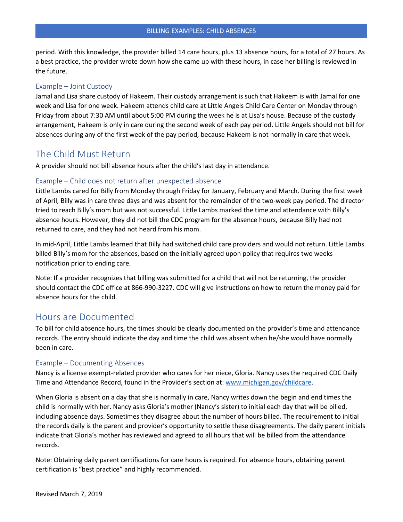period. With this knowledge, the provider billed 14 care hours, plus 13 absence hours, for a total of 27 hours. As a best practice, the provider wrote down how she came up with these hours, in case her billing is reviewed in the future.

### Example – Joint Custody

Jamal and Lisa share custody of Hakeem. Their custody arrangement is such that Hakeem is with Jamal for one week and Lisa for one week. Hakeem attends child care at Little Angels Child Care Center on Monday through Friday from about 7:30 AM until about 5:00 PM during the week he is at Lisa's house. Because of the custody arrangement, Hakeem is only in care during the second week of each pay period. Little Angels should not bill for absences during any of the first week of the pay period, because Hakeem is not normally in care that week.

## <span id="page-1-0"></span>The Child Must Return

A provider should not bill absence hours after the child's last day in attendance.

### Example – Child does not return after unexpected absence

Little Lambs cared for Billy from Monday through Friday for January, February and March. During the first week of April, Billy was in care three days and was absent for the remainder of the two-week pay period. The director tried to reach Billy's mom but was not successful. Little Lambs marked the time and attendance with Billy's absence hours. However, they did not bill the CDC program for the absence hours, because Billy had not returned to care, and they had not heard from his mom.

In mid-April, Little Lambs learned that Billy had switched child care providers and would not return. Little Lambs billed Billy's mom for the absences, based on the initially agreed upon policy that requires two weeks notification prior to ending care.

Note: If a provider recognizes that billing was submitted for a child that will not be returning, the provider should contact the CDC office at 866-990-3227. CDC will give instructions on how to return the money paid for absence hours for the child.

### <span id="page-1-1"></span>Hours are Documented

To bill for child absence hours, the times should be clearly documented on the provider's time and attendance records. The entry should indicate the day and time the child was absent when he/she would have normally been in care.

#### Example – Documenting Absences

Nancy is a license exempt-related provider who cares for her niece, Gloria. Nancy uses the required CDC Daily Time and Attendance Record, found in the Provider's section at: [www.michigan.gov/childcare.](http://www.michigan.gov/childcare)

When Gloria is absent on a day that she is normally in care, Nancy writes down the begin and end times the child is normally with her. Nancy asks Gloria's mother (Nancy's sister) to initial each day that will be billed, including absence days. Sometimes they disagree about the number of hours billed. The requirement to initial the records daily is the parent and provider's opportunity to settle these disagreements. The daily parent initials indicate that Gloria's mother has reviewed and agreed to all hours that will be billed from the attendance records.

<span id="page-1-2"></span>Note: Obtaining daily parent certifications for care hours is required. For absence hours, obtaining parent certification is "best practice" and highly recommended.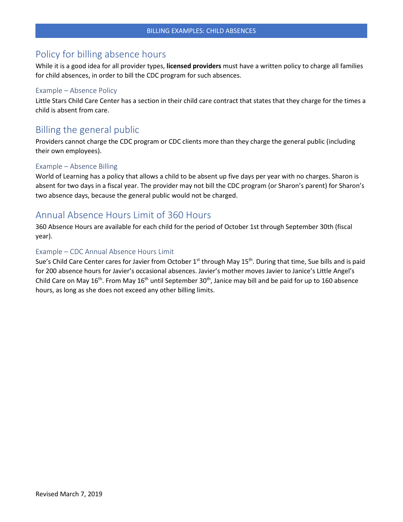# Policy for billing absence hours

While it is a good idea for all provider types, **licensed providers** must have a written policy to charge all families for child absences, in order to bill the CDC program for such absences.

#### Example – Absence Policy

Little Stars Child Care Center has a section in their child care contract that states that they charge for the times a child is absent from care.

## <span id="page-2-0"></span>Billing the general public

Providers cannot charge the CDC program or CDC clients more than they charge the general public (including their own employees).

#### Example – Absence Billing

World of Learning has a policy that allows a child to be absent up five days per year with no charges. Sharon is absent for two days in a fiscal year. The provider may not bill the CDC program (or Sharon's parent) for Sharon's two absence days, because the general public would not be charged.

## <span id="page-2-1"></span>Annual Absence Hours Limit of 360 Hours

360 Absence Hours are available for each child for the period of October 1st through September 30th (fiscal year).

#### Example – CDC Annual Absence Hours Limit

<span id="page-2-2"></span>Sue's Child Care Center cares for Javier from October  $1^{st}$  through May  $15^{th}$ . During that time, Sue bills and is paid for 200 absence hours for Javier's occasional absences. Javier's mother moves Javier to Janice's Little Angel's Child Care on May 16<sup>th</sup>. From May 16<sup>th</sup> until September 30<sup>th</sup>, Janice may bill and be paid for up to 160 absence hours, as long as she does not exceed any other billing limits.